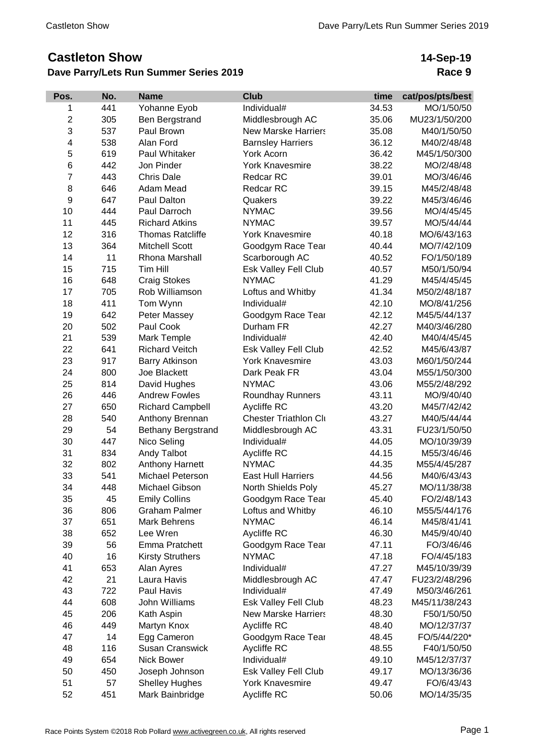## **Castleton Show**

## **Dave Parry/Lets Run Summer Series 2019**

## **14-Sep-19 Race 9**

| Pos.           | No. | <b>Name</b>               | <b>Club</b>                  | time  | cat/pos/pts/best |
|----------------|-----|---------------------------|------------------------------|-------|------------------|
| 1              | 441 | Yohanne Eyob              | Individual#                  | 34.53 | MO/1/50/50       |
| $\overline{c}$ | 305 | Ben Bergstrand            | Middlesbrough AC             | 35.06 | MU23/1/50/200    |
| 3              | 537 | Paul Brown                | <b>New Marske Harriers</b>   | 35.08 | M40/1/50/50      |
| 4              | 538 | Alan Ford                 | <b>Barnsley Harriers</b>     | 36.12 | M40/2/48/48      |
| 5              | 619 | Paul Whitaker             | York Acorn                   | 36.42 | M45/1/50/300     |
| 6              | 442 | Jon Pinder                | <b>York Knavesmire</b>       | 38.22 | MO/2/48/48       |
| $\overline{7}$ | 443 | <b>Chris Dale</b>         | Redcar RC                    | 39.01 | MO/3/46/46       |
| 8              | 646 | Adam Mead                 | Redcar RC                    | 39.15 | M45/2/48/48      |
| 9              | 647 | Paul Dalton               | Quakers                      | 39.22 | M45/3/46/46      |
| 10             | 444 | Paul Darroch              | <b>NYMAC</b>                 | 39.56 | MO/4/45/45       |
| 11             | 445 | <b>Richard Atkins</b>     | <b>NYMAC</b>                 | 39.57 | MO/5/44/44       |
| 12             | 316 | <b>Thomas Ratcliffe</b>   | <b>York Knavesmire</b>       | 40.18 | MO/6/43/163      |
| 13             | 364 | <b>Mitchell Scott</b>     | Goodgym Race Tear            | 40.44 | MO/7/42/109      |
| 14             | 11  | Rhona Marshall            | Scarborough AC               | 40.52 | FO/1/50/189      |
| 15             | 715 | Tim Hill                  | Esk Valley Fell Club         | 40.57 | M50/1/50/94      |
| 16             | 648 | <b>Craig Stokes</b>       | <b>NYMAC</b>                 | 41.29 | M45/4/45/45      |
| 17             | 705 | Rob Williamson            | Loftus and Whitby            | 41.34 | M50/2/48/187     |
| 18             | 411 | Tom Wynn                  | Individual#                  | 42.10 | MO/8/41/256      |
| 19             | 642 | Peter Massey              | Goodgym Race Tear            | 42.12 | M45/5/44/137     |
| 20             | 502 | Paul Cook                 | Durham FR                    | 42.27 | M40/3/46/280     |
| 21             | 539 | Mark Temple               | Individual#                  | 42.40 | M40/4/45/45      |
| 22             | 641 | <b>Richard Veitch</b>     | Esk Valley Fell Club         | 42.52 | M45/6/43/87      |
| 23             | 917 | Barry Atkinson            | <b>York Knavesmire</b>       | 43.03 | M60/1/50/244     |
| 24             | 800 | Joe Blackett              | Dark Peak FR                 | 43.04 | M55/1/50/300     |
| 25             | 814 | David Hughes              | <b>NYMAC</b>                 | 43.06 | M55/2/48/292     |
| 26             | 446 | <b>Andrew Fowles</b>      | <b>Roundhay Runners</b>      | 43.11 | MO/9/40/40       |
| 27             | 650 | <b>Richard Campbell</b>   | Aycliffe RC                  | 43.20 | M45/7/42/42      |
| 28             | 540 | Anthony Brennan           | <b>Chester Triathlon Cli</b> | 43.27 | M40/5/44/44      |
| 29             | 54  | <b>Bethany Bergstrand</b> | Middlesbrough AC             | 43.31 | FU23/1/50/50     |
| 30             | 447 | Nico Seling               | Individual#                  | 44.05 | MO/10/39/39      |
| 31             | 834 | Andy Talbot               | Aycliffe RC                  | 44.15 | M55/3/46/46      |
| 32             | 802 | Anthony Harnett           | <b>NYMAC</b>                 | 44.35 | M55/4/45/287     |
| 33             | 541 | Michael Peterson          | <b>East Hull Harriers</b>    | 44.56 | M40/6/43/43      |
| 34             | 448 | Michael Gibson            | North Shields Poly           | 45.27 | MO/11/38/38      |
| 35             | 45  | <b>Emily Collins</b>      | Goodgym Race Tear            | 45.40 | FO/2/48/143      |
| 36             | 806 | <b>Graham Palmer</b>      | Loftus and Whitby            | 46.10 | M55/5/44/176     |
| 37             | 651 | <b>Mark Behrens</b>       | <b>NYMAC</b>                 | 46.14 | M45/8/41/41      |
| 38             | 652 | Lee Wren                  | Aycliffe RC                  | 46.30 | M45/9/40/40      |
| 39             | 56  | Emma Pratchett            | Goodgym Race Tear            | 47.11 | FO/3/46/46       |
| 40             | 16  | <b>Kirsty Struthers</b>   | <b>NYMAC</b>                 | 47.18 | FO/4/45/183      |
| 41             | 653 | Alan Ayres                | Individual#                  | 47.27 | M45/10/39/39     |
| 42             | 21  | Laura Havis               | Middlesbrough AC             | 47.47 | FU23/2/48/296    |
| 43             | 722 | Paul Havis                | Individual#                  | 47.49 | M50/3/46/261     |
| 44             | 608 | John Williams             | Esk Valley Fell Club         | 48.23 | M45/11/38/243    |
| 45             | 206 | Kath Aspin                | <b>New Marske Harriers</b>   | 48.30 | F50/1/50/50      |
| 46             | 449 | Martyn Knox               | Aycliffe RC                  | 48.40 | MO/12/37/37      |
| 47             | 14  | Egg Cameron               | Goodgym Race Tear            | 48.45 | FO/5/44/220*     |
| 48             | 116 | <b>Susan Cranswick</b>    | Aycliffe RC                  | 48.55 | F40/1/50/50      |
| 49             | 654 | Nick Bower                | Individual#                  | 49.10 | M45/12/37/37     |
| 50             | 450 | Joseph Johnson            | Esk Valley Fell Club         | 49.17 | MO/13/36/36      |
| 51             | 57  | <b>Shelley Hughes</b>     | <b>York Knavesmire</b>       | 49.47 | FO/6/43/43       |
| 52             | 451 | Mark Bainbridge           | Aycliffe RC                  | 50.06 | MO/14/35/35      |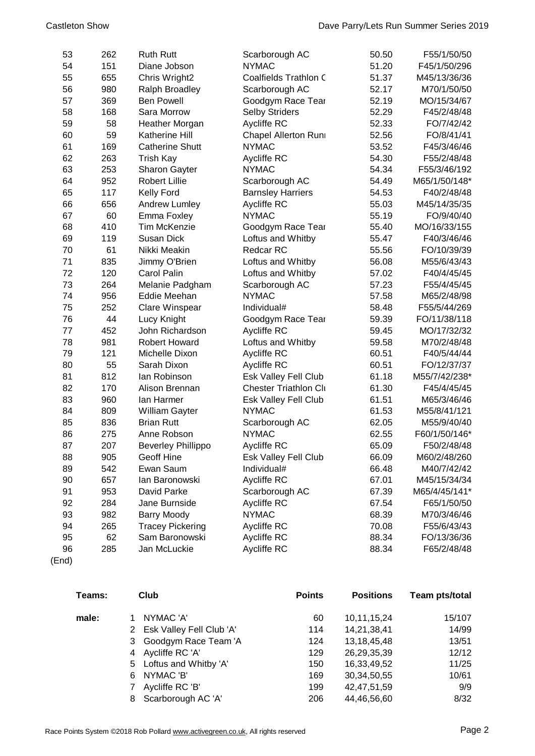| 53 | 262 | <b>Ruth Rutt</b>          | Scarborough AC               | 50.50 | F55/1/50/50   |
|----|-----|---------------------------|------------------------------|-------|---------------|
| 54 | 151 | Diane Jobson              | <b>NYMAC</b>                 | 51.20 | F45/1/50/296  |
| 55 | 655 | Chris Wright2             | Coalfields Trathlon C        | 51.37 | M45/13/36/36  |
| 56 | 980 | Ralph Broadley            | Scarborough AC               | 52.17 | M70/1/50/50   |
| 57 | 369 | <b>Ben Powell</b>         | Goodgym Race Tear            | 52.19 | MO/15/34/67   |
| 58 | 168 | Sara Morrow               | <b>Selby Striders</b>        | 52.29 | F45/2/48/48   |
| 59 | 58  | Heather Morgan            | Aycliffe RC                  | 52.33 | FO/7/42/42    |
| 60 | 59  | Katherine Hill            | Chapel Allerton Runi         | 52.56 | FO/8/41/41    |
| 61 | 169 | <b>Catherine Shutt</b>    | <b>NYMAC</b>                 | 53.52 | F45/3/46/46   |
| 62 | 263 | Trish Kay                 | <b>Aycliffe RC</b>           | 54.30 | F55/2/48/48   |
| 63 | 253 | <b>Sharon Gayter</b>      | <b>NYMAC</b>                 | 54.34 | F55/3/46/192  |
| 64 | 952 | <b>Robert Lillie</b>      | Scarborough AC               | 54.49 | M65/1/50/148* |
| 65 | 117 | <b>Kelly Ford</b>         | <b>Barnsley Harriers</b>     | 54.53 | F40/2/48/48   |
| 66 | 656 | Andrew Lumley             | Aycliffe RC                  | 55.03 | M45/14/35/35  |
| 67 | 60  | Emma Foxley               | <b>NYMAC</b>                 | 55.19 | FO/9/40/40    |
| 68 | 410 | <b>Tim McKenzie</b>       | Goodgym Race Tear            | 55.40 | MO/16/33/155  |
| 69 | 119 | Susan Dick                | Loftus and Whitby            | 55.47 | F40/3/46/46   |
| 70 | 61  | Nikki Meakin              | Redcar RC                    | 55.56 | FO/10/39/39   |
| 71 | 835 | Jimmy O'Brien             | Loftus and Whitby            | 56.08 | M55/6/43/43   |
| 72 | 120 | <b>Carol Palin</b>        | Loftus and Whitby            | 57.02 | F40/4/45/45   |
| 73 | 264 | Melanie Padgham           | Scarborough AC               | 57.23 | F55/4/45/45   |
| 74 | 956 | Eddie Meehan              | <b>NYMAC</b>                 | 57.58 | M65/2/48/98   |
| 75 | 252 | Clare Winspear            | Individual#                  | 58.48 | F55/5/44/269  |
| 76 | 44  | Lucy Knight               | Goodgym Race Tear            | 59.39 | FO/11/38/118  |
| 77 | 452 | John Richardson           | Aycliffe RC                  | 59.45 | MO/17/32/32   |
| 78 | 981 | <b>Robert Howard</b>      | Loftus and Whitby            | 59.58 | M70/2/48/48   |
| 79 | 121 | Michelle Dixon            | Aycliffe RC                  | 60.51 | F40/5/44/44   |
| 80 | 55  | Sarah Dixon               | Aycliffe RC                  | 60.51 | FO/12/37/37   |
| 81 | 812 | lan Robinson              | Esk Valley Fell Club         | 61.18 | M55/7/42/238* |
| 82 | 170 | Alison Brennan            | <b>Chester Triathlon Cli</b> | 61.30 | F45/4/45/45   |
| 83 | 960 | lan Harmer                | Esk Valley Fell Club         | 61.51 | M65/3/46/46   |
| 84 | 809 | William Gayter            | <b>NYMAC</b>                 | 61.53 | M55/8/41/121  |
| 85 | 836 | <b>Brian Rutt</b>         | Scarborough AC               | 62.05 | M55/9/40/40   |
| 86 | 275 | Anne Robson               | <b>NYMAC</b>                 | 62.55 | F60/1/50/146* |
| 87 | 207 | <b>Beverley Phillippo</b> | Aycliffe RC                  | 65.09 | F50/2/48/48   |
| 88 | 905 | Geoff Hine                | Esk Valley Fell Club         | 66.09 | M60/2/48/260  |
| 89 | 542 | Ewan Saum                 | Individual#                  | 66.48 | M40/7/42/42   |
| 90 | 657 | lan Baronowski            | Aycliffe RC                  | 67.01 | M45/15/34/34  |
| 91 | 953 | David Parke               | Scarborough AC               | 67.39 | M65/4/45/141* |
| 92 | 284 | Jane Burnside             | Aycliffe RC                  | 67.54 | F65/1/50/50   |
| 93 | 982 | <b>Barry Moody</b>        | <b>NYMAC</b>                 | 68.39 | M70/3/46/46   |
| 94 | 265 | <b>Tracey Pickering</b>   | Aycliffe RC                  | 70.08 | F55/6/43/43   |
| 95 | 62  | Sam Baronowski            | Aycliffe RC                  | 88.34 | FO/13/36/36   |
| 96 | 285 | Jan McLuckie              | Aycliffe RC                  | 88.34 | F65/2/48/48   |

(End)

| Teams: | <b>Club</b>                | <b>Points</b> | <b>Positions</b> | Team pts/total |
|--------|----------------------------|---------------|------------------|----------------|
| male:  | NYMAC 'A'                  | 60            | 10,11,15,24      | 15/107         |
|        | 2 Esk Valley Fell Club 'A' | 114           | 14,21,38,41      | 14/99          |
|        | 3 Goodgym Race Team 'A     | 124           | 13, 18, 45, 48   | 13/51          |
|        | Aycliffe RC 'A'<br>4       | 129           | 26,29,35,39      | 12/12          |
|        | 5 Loftus and Whitby 'A'    | 150           | 16,33,49,52      | 11/25          |
|        | NYMAC 'B'<br>6             | 169           | 30, 34, 50, 55   | 10/61          |
|        | Aycliffe RC 'B'            | 199           | 42, 47, 51, 59   | 9/9            |
|        | Scarborough AC 'A'<br>8    | 206           | 44,46,56,60      | 8/32           |